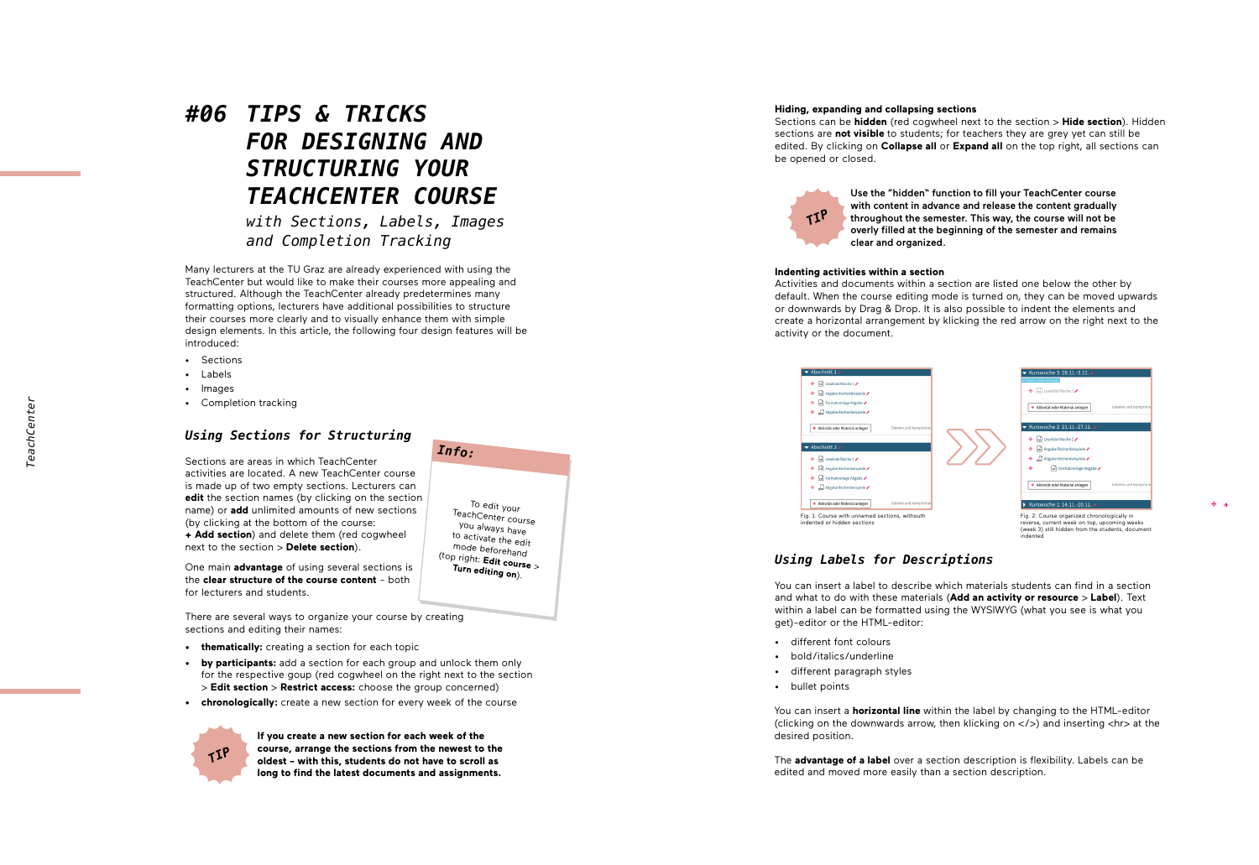# *#06 TIPS & TRICKS FOR DESIGNING AND STRUCTURING YOUR TEACHCENTER COURSE*

*with Sections, Labels, Images and Completion Tracking*

Many lecturers at the TU Graz are already experienced with using the TeachCenter but would like to make their courses more appealing and structured. Although the TeachCenter already predetermines many formatting options, lecturers have additional possibilities to structure their courses more clearly and to visually enhance them with simple design elements. In this article, the following four design features will be introduced:

- Sections
- Labels
- Images
- Completion tracking

## *Using Sections for Structuring*

Sections are areas in which TeachCenter activities are located. A new TeachCenter course is made up of two empty sections. Lecturers can **edit** the section names (by clicking on the section name) or **add** unlimited amounts of new sections (by clicking at the bottom of the course: **+ Add section**) and delete them (red cogwheel

One main **advantage** of using several sections is the **clear structure of the course content** - both for lecturers and students.

next to the section > **Delete section**).

There are several ways to organize your course by creating sections and editing their names:

- **• thematically:** creating a section for each topic
- **• by participants:** add a section for each group and unlock them only for the respective goup (red cogwheel on the right next to the section > **Edit section** > **Restrict access:** choose the group concerned)
- **• chronologically:** create a new section for every week of the course



**If you create a new section for each week of the course, arrange the sections from the newest to the oldest - with this, students do not have to scroll as long to find the latest documents and assignments.**

# To edit your<br>TeachCenter course<br>you always have<br>to activate the edit<br>mode beforehand<br>(top right: **Edit course** ><br>**Turn editing on**). *Info:*

#### **Hiding, expanding and collapsing sections**

Sections can be **hidden** (red cogwheel next to the section > **Hide section**). Hidden sections are **not visible** to students; for teachers they are grey yet can still be edited. By clicking on **Collapse all** or **Expand all** on the top right, all sections can be opened or closed.



Use the "hidden" function to fill your TeachCenter course with content in advance and release the content gradually throughout the semester. This way, the course will not be overly filled at the beginning of the semester and remains clear and organized.

#### **Indenting activities within a section**

Activities and documents within a section are listed one below the other by default. When the course editing mode is turned on, they can be moved upwards or downwards by Drag & Drop. It is also possible to indent the elements and create a horizontal arrangement by klicking the red arrow on the right next to the activity or the document.



## *Using Labels for Descriptions*

You can insert a label to describe which materials students can find in a section and what to do with these materials (**Add an activity or resource**  > **Label**). Text within a label can be formatted using the WYSIWYG (what you see is what you get)-editor or the HTML-editor:

- different font colours
- bold/italics/underline
- different paragraph styles
- bullet points

You can insert a **horizontal line** within the label by changing to the HTML-editor (clicking on the downwards arrow, then klicking on  $\langle \rangle$ ) and inserting  $\langle$ h $\rangle$  at the desired position.

The **advantage of a label** over a section description is flexibility. Labels can be edited and moved more easily than a section description.